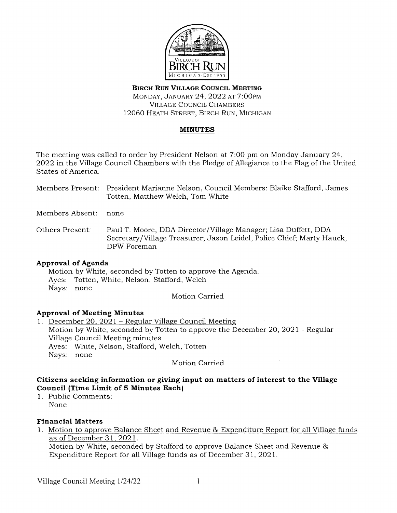

# **BIRCH RUN VILLAGE COUNCIL MEETING**  MONDAY, JANUARY 24, 2022 AT 7:00PM VILLAGE COUNCIL CHAMBERS 12060 HEATH STREET, BIRCH RUN, MICHIGAN

## **MINUTES**

The meeting was called to order by President Nelson at 7:00 pm on Monday January 24, 2022 in the Village Council Chambers with the Pledge of Allegiance to the Flag of the United States of America.

Members Present: President Marianne Nelson, Council Members: Blaike Stafford, James Totten, Matthew Welch, Tom White

Members Absent: none

Others Present: Paul T. Moore, DDA Director /Village Manager; Lisa Duffett, DDA Secretary/Village Treasurer; Jason Leidel, Police Chief; Marty Hauck, DPW Foreman

## **Approval of Agenda**

Motion by White, seconded by Totten to approve the Agenda. Ayes: Totten, White, Nelson, Stafford, Welch Nays: none

Motion Carried

## **Approval of Meeting Minutes**

1. December 20, 2021 - Regular Village Council Meeting Motion by White, seconded by Totten to approve the December 20, 2021 - Regular Village Council Meeting minutes Ayes: White, Nelson, Stafford, Welch, Totten Nays: none

Motion Carried

# **Citizens seeking information or giving input on matters of interest to the Village Council (Time Limit of 5 Minutes Each)**

1. Public Comments: None

# **Financial Matters**

1. Motion to approve Balance Sheet and Revenue & Expenditure Report for all Village funds as of December 31, 2021.

Motion by White, seconded by Stafford to approve Balance Sheet and Revenue & Expenditure Report for all Village funds as of December 31, 2021.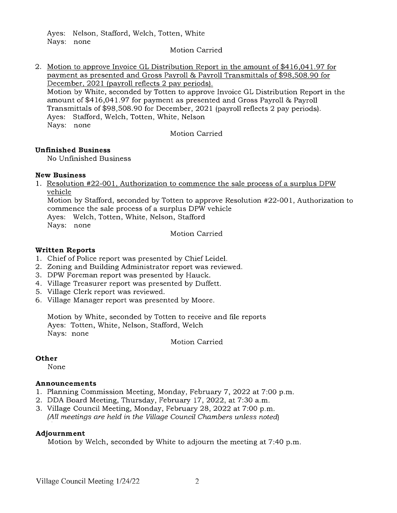Ayes: Nelson, Stafford, Welch, Totten, White Nays: none

#### Motion Carried

2. Motion to approve Invoice GL Distribution Report in the amount of \$416,041.97 for payment as presented and Gross Payroll & Payroll Transmittals of \$98,508.90 for December, 2021 (payroll reflects 2 pay periods). Motion by White, seconded by Totten to approve Invoice GL Distribution Report in the amount of \$416,041.97 for payment as presented and Gross Payroll & Payroll Transmittals of \$98,508.90 for December, 2021 (payroll reflects 2 pay periods). Ayes: Stafford, Welch, Totten, White, Nelson Nays: none

Motion Carried

### **Unfinished Business**

No Unfinished Business

### **New Business**

1. Resolution #22-001, Authorization to commence the sale process of a surplus DPW vehicle

Motion by Stafford, seconded by Totten to approve Resolution #22-001, Authorization to commence the sale process of a surplus DPW vehicle

Ayes: Welch, Totten, White, Nelson, Stafford Nays: none

Motion Carried

## **Written Reports**

- 1. Chief of Police report was presented by Chief Leidel.
- 2. Zoning and Building Administrator report was reviewed.
- 3. DPW Foreman report was presented by Hauck.
- 4. Village Treasurer report was presented by Duffett.
- 5. Village Clerk report was reviewed.
- 6. Village Manager report was presented by Moore.

Motion by White, seconded by Totten to receive and file reports Ayes: Totten, White, Nelson, Stafford, Welch Nays: none

Motion Carried

## **Other**

None

#### **Announcements**

- 1. Planning Commission Meeting, Monday, February 7, 2022 at 7:00 p.m.
- 2. DDA Board Meeting, Thursday, February 17, 2022, at 7:30 a.m.
- 3. Village Council Meeting, Monday, February 28, 2022 at 7:00 p.m. (All meetings are held in the Village Council Chambers unless noted)

#### **Adjournment**

Motion by Welch, seconded by White to adjourn the meeting at 7:40 p.m.